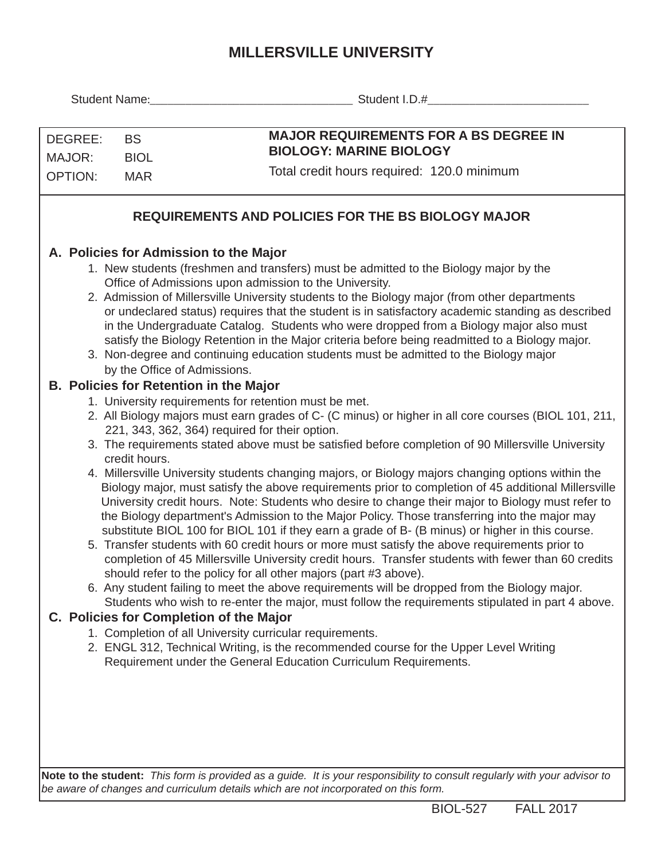## **MILLERSVILLE UNIVERSITY**

|                |                                                                                                                                                                                                    | Student I.D.#                                                                                                                                                                                      |  |  |  |  |  |  |
|----------------|----------------------------------------------------------------------------------------------------------------------------------------------------------------------------------------------------|----------------------------------------------------------------------------------------------------------------------------------------------------------------------------------------------------|--|--|--|--|--|--|
|                |                                                                                                                                                                                                    |                                                                                                                                                                                                    |  |  |  |  |  |  |
| DEGREE:        | <b>BS</b>                                                                                                                                                                                          | <b>MAJOR REQUIREMENTS FOR A BS DEGREE IN</b>                                                                                                                                                       |  |  |  |  |  |  |
| MAJOR:         | <b>BIOL</b>                                                                                                                                                                                        | <b>BIOLOGY: MARINE BIOLOGY</b>                                                                                                                                                                     |  |  |  |  |  |  |
| <b>OPTION:</b> | <b>MAR</b>                                                                                                                                                                                         | Total credit hours required: 120.0 minimum                                                                                                                                                         |  |  |  |  |  |  |
|                |                                                                                                                                                                                                    | <b>REQUIREMENTS AND POLICIES FOR THE BS BIOLOGY MAJOR</b>                                                                                                                                          |  |  |  |  |  |  |
|                |                                                                                                                                                                                                    |                                                                                                                                                                                                    |  |  |  |  |  |  |
|                | A. Policies for Admission to the Major                                                                                                                                                             |                                                                                                                                                                                                    |  |  |  |  |  |  |
|                | 1. New students (freshmen and transfers) must be admitted to the Biology major by the                                                                                                              |                                                                                                                                                                                                    |  |  |  |  |  |  |
|                | Office of Admissions upon admission to the University.                                                                                                                                             |                                                                                                                                                                                                    |  |  |  |  |  |  |
|                | 2. Admission of Millersville University students to the Biology major (from other departments<br>or undeclared status) requires that the student is in satisfactory academic standing as described |                                                                                                                                                                                                    |  |  |  |  |  |  |
|                |                                                                                                                                                                                                    | in the Undergraduate Catalog. Students who were dropped from a Biology major also must                                                                                                             |  |  |  |  |  |  |
|                | satisfy the Biology Retention in the Major criteria before being readmitted to a Biology major.                                                                                                    |                                                                                                                                                                                                    |  |  |  |  |  |  |
|                | 3. Non-degree and continuing education students must be admitted to the Biology major<br>by the Office of Admissions.                                                                              |                                                                                                                                                                                                    |  |  |  |  |  |  |
|                | <b>B. Policies for Retention in the Major</b>                                                                                                                                                      |                                                                                                                                                                                                    |  |  |  |  |  |  |
|                | 1. University requirements for retention must be met.                                                                                                                                              |                                                                                                                                                                                                    |  |  |  |  |  |  |
|                |                                                                                                                                                                                                    | 2. All Biology majors must earn grades of C- (C minus) or higher in all core courses (BIOL 101, 211,<br>221, 343, 362, 364) required for their option.                                             |  |  |  |  |  |  |
|                | credit hours.                                                                                                                                                                                      | 3. The requirements stated above must be satisfied before completion of 90 Millersville University                                                                                                 |  |  |  |  |  |  |
|                |                                                                                                                                                                                                    | 4. Millersville University students changing majors, or Biology majors changing options within the                                                                                                 |  |  |  |  |  |  |
|                |                                                                                                                                                                                                    | Biology major, must satisfy the above requirements prior to completion of 45 additional Millersville                                                                                               |  |  |  |  |  |  |
|                |                                                                                                                                                                                                    | University credit hours. Note: Students who desire to change their major to Biology must refer to<br>the Biology department's Admission to the Major Policy. Those transferring into the major may |  |  |  |  |  |  |
|                |                                                                                                                                                                                                    | substitute BIOL 100 for BIOL 101 if they earn a grade of B- (B minus) or higher in this course.                                                                                                    |  |  |  |  |  |  |
|                |                                                                                                                                                                                                    | 5. Transfer students with 60 credit hours or more must satisfy the above requirements prior to                                                                                                     |  |  |  |  |  |  |
|                |                                                                                                                                                                                                    | completion of 45 Millersville University credit hours. Transfer students with fewer than 60 credits                                                                                                |  |  |  |  |  |  |
|                | should refer to the policy for all other majors (part #3 above).<br>6. Any student failing to meet the above requirements will be dropped from the Biology major.                                  |                                                                                                                                                                                                    |  |  |  |  |  |  |
|                | Students who wish to re-enter the major, must follow the requirements stipulated in part 4 above.                                                                                                  |                                                                                                                                                                                                    |  |  |  |  |  |  |
|                | C. Policies for Completion of the Major                                                                                                                                                            |                                                                                                                                                                                                    |  |  |  |  |  |  |
|                | 1. Completion of all University curricular requirements.                                                                                                                                           |                                                                                                                                                                                                    |  |  |  |  |  |  |
|                |                                                                                                                                                                                                    | 2. ENGL 312, Technical Writing, is the recommended course for the Upper Level Writing<br>Requirement under the General Education Curriculum Requirements.                                          |  |  |  |  |  |  |
|                |                                                                                                                                                                                                    |                                                                                                                                                                                                    |  |  |  |  |  |  |
|                |                                                                                                                                                                                                    |                                                                                                                                                                                                    |  |  |  |  |  |  |
|                |                                                                                                                                                                                                    |                                                                                                                                                                                                    |  |  |  |  |  |  |
|                |                                                                                                                                                                                                    |                                                                                                                                                                                                    |  |  |  |  |  |  |

**Note to the student:** *This form is provided as a guide. It is your responsibility to consult regularly with your advisor to be aware of changes and curriculum details which are not incorporated on this form.*